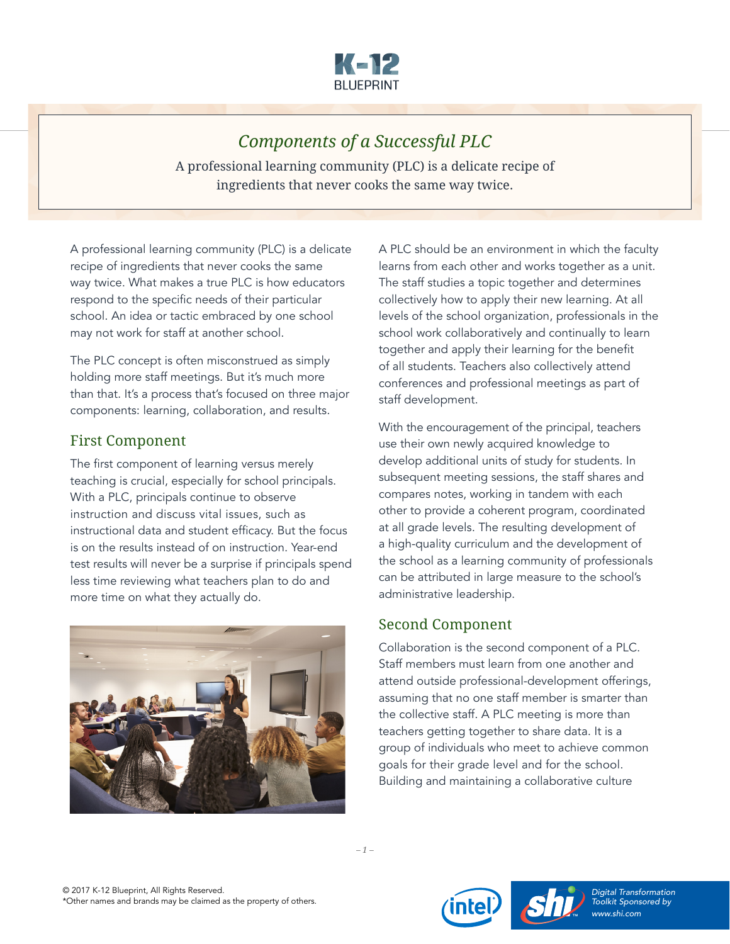

# *Components of a Successful PLC*

A professional learning community (PLC) is a delicate recipe of ingredients that never cooks the same way twice.

A professional learning community (PLC) is a delicate recipe of ingredients that never cooks the same way twice. What makes a true PLC is how educators respond to the specific needs of their particular school. An idea or tactic embraced by one school may not work for staff at another school.

The PLC concept is often misconstrued as simply holding more staff meetings. But it's much more than that. It's a process that's focused on three major components: learning, collaboration, and results.

### First Component

The first component of learning versus merely teaching is crucial, especially for school principals. With a PLC, principals continue to observe instruction and discuss vital issues, such as instructional data and student efficacy. But the focus is on the results instead of on instruction. Year-end test results will never be a surprise if principals spend less time reviewing what teachers plan to do and more time on what they actually do.



A PLC should be an environment in which the faculty learns from each other and works together as a unit. The staff studies a topic together and determines collectively how to apply their new learning. At all levels of the school organization, professionals in the school work collaboratively and continually to learn together and apply their learning for the benefit of all students. Teachers also collectively attend conferences and professional meetings as part of staff development.

With the encouragement of the principal, teachers use their own newly acquired knowledge to develop additional units of study for students. In subsequent meeting sessions, the staff shares and compares notes, working in tandem with each other to provide a coherent program, coordinated at all grade levels. The resulting development of a high-quality curriculum and the development of the school as a learning community of professionals can be attributed in large measure to the school's administrative leadership.

### Second Component

Collaboration is the second component of a PLC. Staff members must learn from one another and attend outside professional-development offerings, assuming that no one staff member is smarter than the collective staff. A PLC meeting is more than teachers getting together to share data. It is a group of individuals who meet to achieve common goals for their grade level and for the school. Building and maintaining a collaborative culture

*– 1 –*



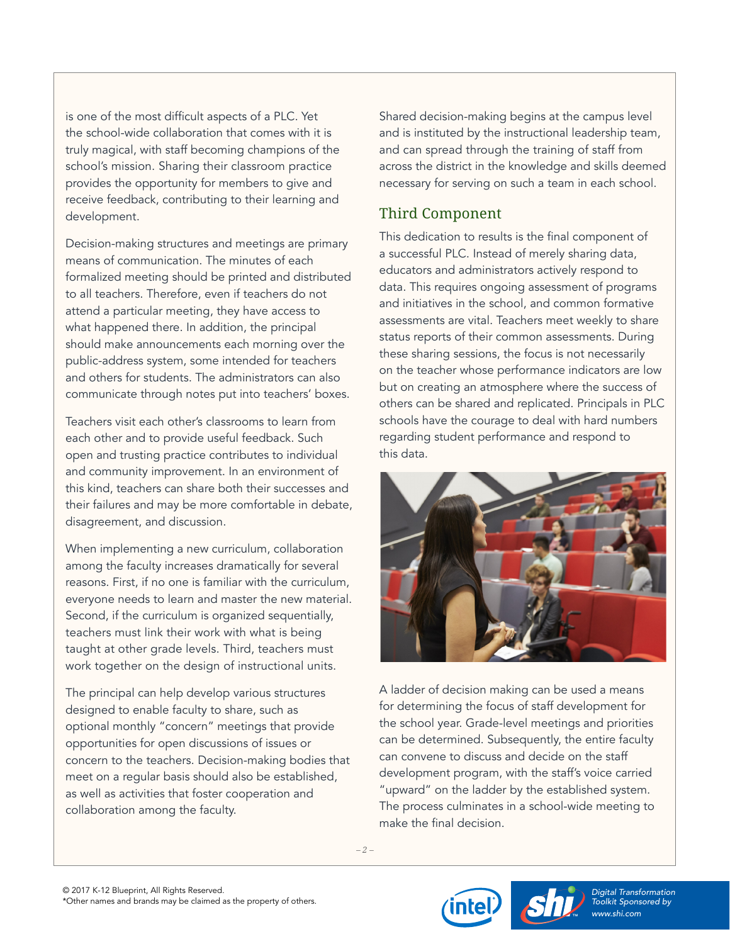is one of the most difficult aspects of a PLC. Yet the school-wide collaboration that comes with it is truly magical, with staff becoming champions of the school's mission. Sharing their classroom practice provides the opportunity for members to give and receive feedback, contributing to their learning and development.

Decision-making structures and meetings are primary means of communication. The minutes of each formalized meeting should be printed and distributed to all teachers. Therefore, even if teachers do not attend a particular meeting, they have access to what happened there. In addition, the principal should make announcements each morning over the public-address system, some intended for teachers and others for students. The administrators can also communicate through notes put into teachers' boxes.

Teachers visit each other's classrooms to learn from each other and to provide useful feedback. Such open and trusting practice contributes to individual and community improvement. In an environment of this kind, teachers can share both their successes and their failures and may be more comfortable in debate, disagreement, and discussion.

When implementing a new curriculum, collaboration among the faculty increases dramatically for several reasons. First, if no one is familiar with the curriculum, everyone needs to learn and master the new material. Second, if the curriculum is organized sequentially, teachers must link their work with what is being taught at other grade levels. Third, teachers must work together on the design of instructional units.

The principal can help develop various structures designed to enable faculty to share, such as optional monthly "concern" meetings that provide opportunities for open discussions of issues or concern to the teachers. Decision-making bodies that meet on a regular basis should also be established, as well as activities that foster cooperation and collaboration among the faculty.

Shared decision-making begins at the campus level and is instituted by the instructional leadership team, and can spread through the training of staff from across the district in the knowledge and skills deemed necessary for serving on such a team in each school.

## Third Component

This dedication to results is the final component of a successful PLC. Instead of merely sharing data, educators and administrators actively respond to data. This requires ongoing assessment of programs and initiatives in the school, and common formative assessments are vital. Teachers meet weekly to share status reports of their common assessments. During these sharing sessions, the focus is not necessarily on the teacher whose performance indicators are low but on creating an atmosphere where the success of others can be shared and replicated. Principals in PLC schools have the courage to deal with hard numbers regarding student performance and respond to this data.



A ladder of decision making can be used a means for determining the focus of staff development for the school year. Grade-level meetings and priorities can be determined. Subsequently, the entire faculty can convene to discuss and decide on the staff development program, with the staff's voice carried "upward" on the ladder by the established system. The process culminates in a school-wide meeting to make the final decision.